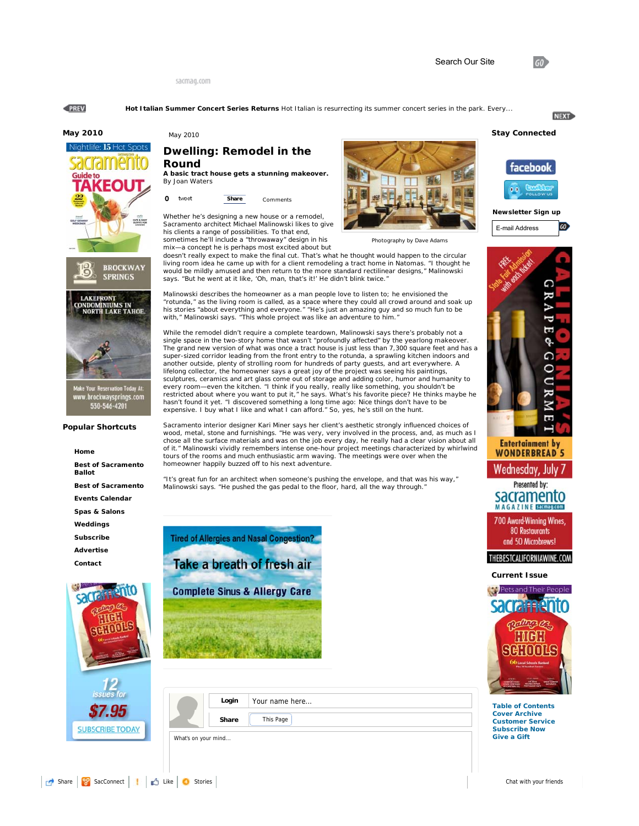sacmag.com

May 2010

 $\Omega$ 

PREV

**Hot Italian Summer Concert Series Returns** Hot Italian is resurrecting its summer concert series in the park. Every...

**May 2010** Nightlife: 15 F

 $\circ$ 

EΟ

**BROCKWAY** 

**SPRINGS** 

LAKEFRONT<br>CONDOMINIUMS IN **NORTH LAKE TAHOE.**  **Dwelling: Remodel in the Round A basic tract house gets a stunning makeover.**

By Joan Waters

his clients a range of possibilities. To that end, sometimes he'll include a "throwaway" design in his



Photography by Dave Adams

mix—a concept he is perhaps most excited about but doesn't really expect to make the final cut. That's what he thought would happen to the circular living room idea he came up with for a client remodeling a tract home in Natomas. "I thought he would be mildly amused and then return to the more standard rectilinear designs," Malinowski says. "But he went at it like, 'Oh, man, that's it!' He didn't blink twice.

Malinowski describes the homeowner as a man people love to listen to; he envisioned the "rotunda," as the living room is called, as a space where they could all crowd around and soak up his stories "about everything and everyone." "He's just an amazing guy and so much fun to be with," Malinowski says. "This whole project was like an adventure to him."

While the remodel didn't require a complete teardown, Malinowski says there's probably not a single space in the two-story home that wasn't "profoundly affected" by the yearlong makeover. The grand new version of what was once a tract house is just less than 7,300 square feet and has a super-sized corridor leading from the front entry to the rotunda, a sprawling kitchen indoors and another outside, plenty of strolling room for hundreds of party guests, and art everywhere. A lifelong collector, the homeowner says a great joy of the project was seeing his paintings, sculptures, ceramics and art glass come out of storage and adding color, humor and humanity to every room—even the kitchen. "I think if you really, really like something, you shouldn't be restricted about where you want to put it," he says. What's his favorite piece? He thinks maybe he hasn't found it yet. "I discovered something a long time ago: Nice things don't have to be expensive. I buy what I like and what I can afford." So, yes, he's still on the hunt.

Sacramento interior designer Kari Miner says her client's aesthetic strongly influenced choices of wood, metal, stone and furnishings. "He was very, very involved in the process, and, as much as I chose all the surface materials and was on the job every day, he really had a clear vision about all of it." Malinowski vividly remembers intense one-hour project meetings characterized by whirlwind tours of the rooms and much enthusiastic arm waving. The meetings were over when the homeowner happily buzzed off to his next adventure.

"It's great fun for an architect when someone's pushing the envelope, and that was his way," Malinowski says. "He pushed the gas pedal to the floor, hard, all the way through."

**Tired of Allergies and Nasal Congestion?** Take a breath of fresh air **Complete Sinus & Allergy Care** 





## facebook

**Stay Connected**

 $60$ 

**NEXT** 











**Table of Contents Cover Archive Customer Service Subscribe Now Give a Gift**

tweet **Share** Comments

Whether he's designing a new house or a remodel, Sacramento architect Michael Malinowski likes to give



Make Your Reservation Today At www.brockwaysprings.com<br>530-546-4201

## **Popular Shortcuts**

**Home Best of Sacramento Ballot Best of Sacramento Events Calendar Spas & Salons Weddings Subscribe Advertise Contact**